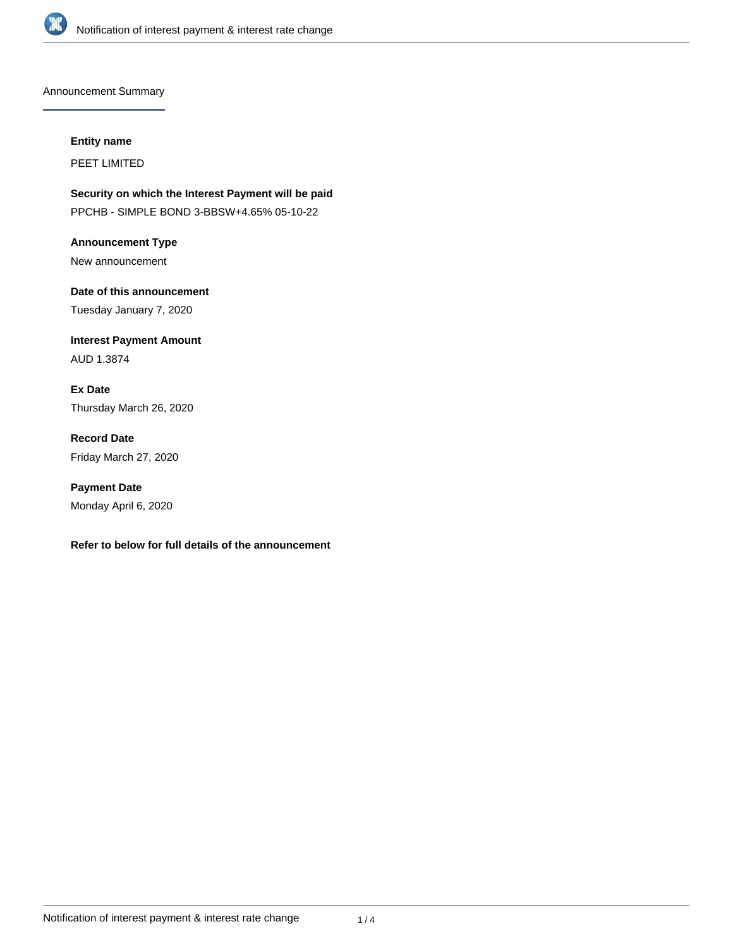

Announcement Summary

#### **Entity name**

PEET LIMITED

**Security on which the Interest Payment will be paid** PPCHB - SIMPLE BOND 3-BBSW+4.65% 05-10-22

**Announcement Type** New announcement

**Date of this announcement** Tuesday January 7, 2020

**Interest Payment Amount** AUD 1.3874

**Ex Date** Thursday March 26, 2020

**Record Date** Friday March 27, 2020

**Payment Date** Monday April 6, 2020

# **Refer to below for full details of the announcement**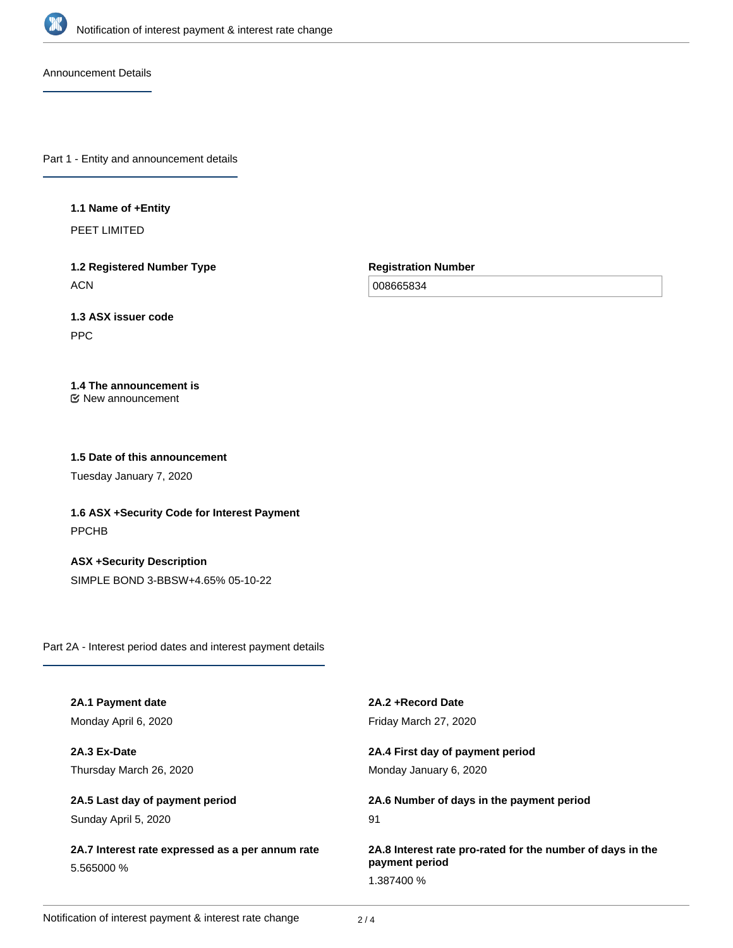

Announcement Details

Part 1 - Entity and announcement details

### **1.1 Name of +Entity**

PEET LIMITED

**1.2 Registered Number Type ACN** 

**Registration Number**

008665834

# **1.3 ASX issuer code**

PPC

# **1.4 The announcement is**

New announcement

# **1.5 Date of this announcement**

Tuesday January 7, 2020

**1.6 ASX +Security Code for Interest Payment** PPCHB

**ASX +Security Description** SIMPLE BOND 3-BBSW+4.65% 05-10-22

Part 2A - Interest period dates and interest payment details

| 2A.1 Payment date                                              | 2A.2 + Record Date                                         |
|----------------------------------------------------------------|------------------------------------------------------------|
| Monday April 6, 2020                                           | Friday March 27, 2020                                      |
| 2A.3 Ex-Date                                                   | 2A.4 First day of payment period                           |
| Thursday March 26, 2020                                        | Monday January 6, 2020                                     |
| 2A.5 Last day of payment period                                | 2A.6 Number of days in the payment period                  |
| Sunday April 5, 2020                                           | 91                                                         |
| 2A.7 Interest rate expressed as a per annum rate<br>5.565000 % | 2A.8 Interest rate pro-rated for the number of days in the |
|                                                                | payment period                                             |
|                                                                | 1.387400 %                                                 |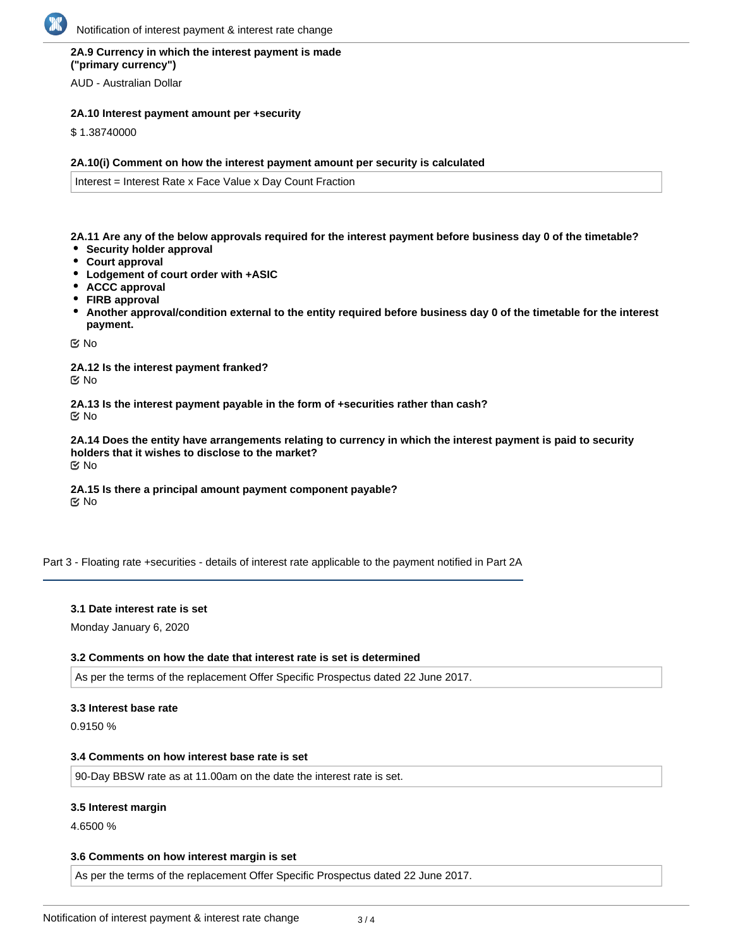# **2A.9 Currency in which the interest payment is made ("primary currency")**

AUD - Australian Dollar

## **2A.10 Interest payment amount per +security**

\$ 1.38740000

#### **2A.10(i) Comment on how the interest payment amount per security is calculated**

Interest = Interest Rate x Face Value x Day Count Fraction

**2A.11 Are any of the below approvals required for the interest payment before business day 0 of the timetable?**

- **Security holder approval**
- **Court approval**
- **Lodgement of court order with +ASIC**
- **ACCC approval**
- **FIRB approval**
- **Another approval/condition external to the entity required before business day 0 of the timetable for the interest payment.**

No

**2A.12 Is the interest payment franked?** No

**2A.13 Is the interest payment payable in the form of +securities rather than cash?** No

**2A.14 Does the entity have arrangements relating to currency in which the interest payment is paid to security holders that it wishes to disclose to the market?** No

**2A.15 Is there a principal amount payment component payable? K** No

Part 3 - Floating rate +securities - details of interest rate applicable to the payment notified in Part 2A

# **3.1 Date interest rate is set**

Monday January 6, 2020

## **3.2 Comments on how the date that interest rate is set is determined**

As per the terms of the replacement Offer Specific Prospectus dated 22 June 2017.

## **3.3 Interest base rate**

0.9150 %

#### **3.4 Comments on how interest base rate is set**

90-Day BBSW rate as at 11.00am on the date the interest rate is set.

## **3.5 Interest margin**

4.6500 %

## **3.6 Comments on how interest margin is set**

As per the terms of the replacement Offer Specific Prospectus dated 22 June 2017.